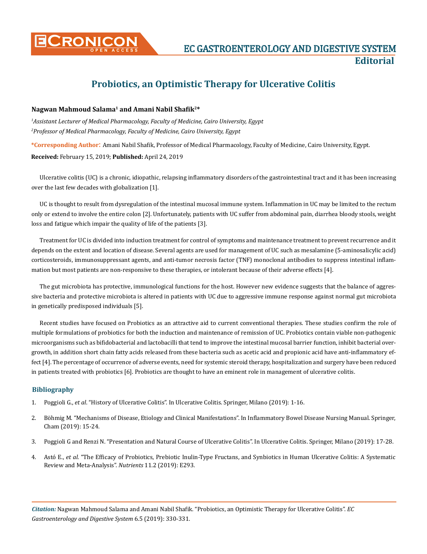

## **Probiotics, an Optimistic Therapy for Ulcerative Colitis**

## **Nagwan Mahmoud Salama1 and Amani Nabil Shafik2\***

*1 Assistant Lecturer of Medical Pharmacology, Faculty of Medicine, Cairo University, Egypt 2 Professor of Medical Pharmacology, Faculty of Medicine, Cairo University, Egypt*

**\*Corresponding Author**: Amani Nabil Shafik, Professor of Medical Pharmacology, Faculty of Medicine, Cairo University, Egypt.

**Received:** February 15, 2019; **Published:** April 24, 2019

Ulcerative colitis (UC) is a chronic, idiopathic, relapsing inflammatory disorders of the gastrointestinal tract and it has been increasing over the last few decades with globalization [1].

UC is thought to result from dysregulation of the intestinal mucosal immune system. Inflammation in UC may be limited to the rectum only or extend to involve the entire colon [2]. Unfortunately, patients with UC suffer from abdominal pain, diarrhea bloody stools, weight loss and fatigue which impair the quality of life of the patients [3].

Treatment for UC is divided into induction treatment for control of symptoms and maintenance treatment to prevent recurrence and it depends on the extent and location of disease. Several agents are used for management of UC such as mesalamine (5-aminosalicylic acid) corticosteroids, immunosuppressant agents, and anti-tumor necrosis factor (TNF) monoclonal antibodies to suppress intestinal inflammation but most patients are non-responsive to these therapies, or intolerant because of their adverse effects [4].

The gut microbiota has protective, immunological functions for the host. However new evidence suggests that the balance of aggressive bacteria and protective microbiota is altered in patients with UC due to aggressive immune response against normal gut microbiota in genetically predisposed individuals [5].

Recent studies have focused on Probiotics as an attractive aid to current conventional therapies. These studies confirm the role of multiple formulations of probiotics for both the induction and maintenance of remission of UC. Probiotics contain viable non-pathogenic microorganisms such as bifidobacterial and lactobacilli that tend to improve the intestinal mucosal barrier function, inhibit bacterial overgrowth, in addition short chain fatty acids released from these bacteria such as acetic acid and propionic acid have anti-inflammatory effect [4]. The percentage of occurrence of adverse events, need for systemic steroid therapy, hospitalization and surgery have been reduced in patients treated with probiotics [6]. Probiotics are thought to have an eminent role in management of ulcerative colitis.

## **Bibliography**

- 1. Poggioli G., *et al*. "History of Ulcerative Colitis". In Ulcerative Colitis. Springer, Milano (2019): 1-16.
- 2. [Böhmig M. "Mechanisms of Disease, Etiology and Clinical Manifestations". In Inflammatory Bowel Disease Nursing Manual. Springer,](https://link.springer.com/chapter/10.1007/978-3-319-75022-4_3) [Cham \(2019\): 15-24.](https://link.springer.com/chapter/10.1007/978-3-319-75022-4_3)
- 3. Poggioli G and Renzi N. "Presentation and Natural Course of Ulcerative Colitis". In Ulcerative Colitis. Springer, Milano (2019): 17-28.
- 4. Astó E., *et al*[. "The Efficacy of Probiotics, Prebiotic Inulin-Type Fructans, and Synbiotics in Human Ulcerative Colitis: A Systematic](https://www.ncbi.nlm.nih.gov/pubmed/30704039) [Review and Meta-Analysis".](https://www.ncbi.nlm.nih.gov/pubmed/30704039) *Nutrients* 11.2 (2019): E293.

*Citation:* Nagwan Mahmoud Salama and Amani Nabil Shafik. "Probiotics, an Optimistic Therapy for Ulcerative Colitis". *EC Gastroenterology and Digestive System* 6.5 (2019): 330-331.